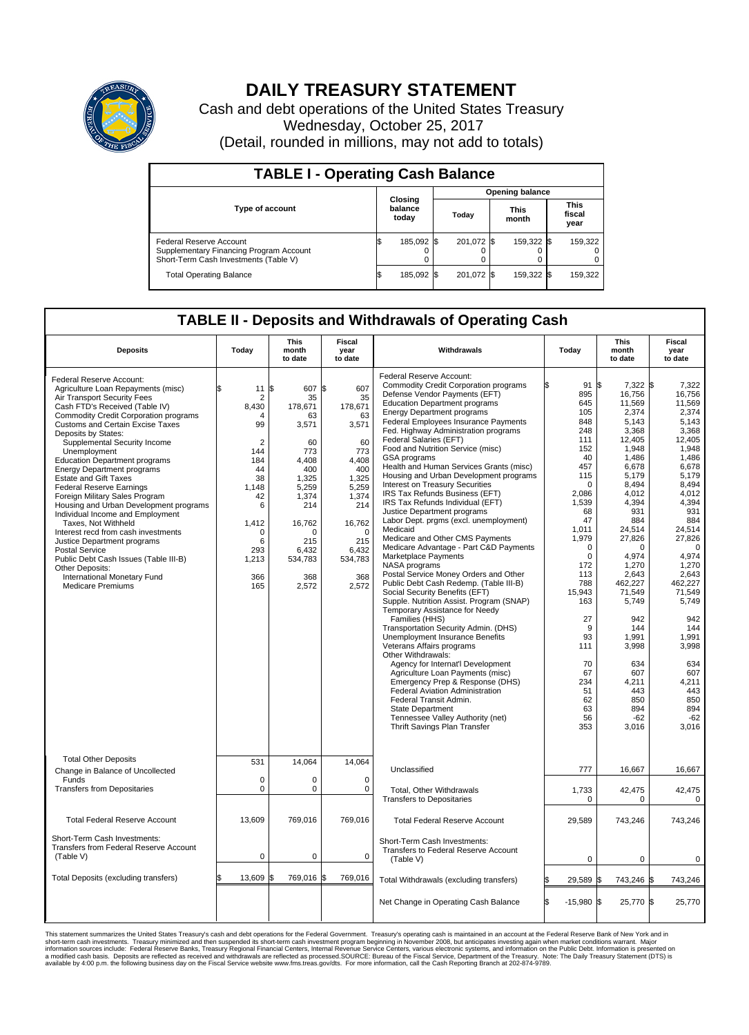

## **DAILY TREASURY STATEMENT**

Cash and debt operations of the United States Treasury Wednesday, October 25, 2017 (Detail, rounded in millions, may not add to totals)

| <b>TABLE I - Operating Cash Balance</b>                                                                     |  |                             |  |                        |  |                      |  |                               |  |  |  |
|-------------------------------------------------------------------------------------------------------------|--|-----------------------------|--|------------------------|--|----------------------|--|-------------------------------|--|--|--|
|                                                                                                             |  | Closing<br>balance<br>today |  | <b>Opening balance</b> |  |                      |  |                               |  |  |  |
| <b>Type of account</b>                                                                                      |  |                             |  | Today                  |  | <b>This</b><br>month |  | <b>This</b><br>fiscal<br>year |  |  |  |
| Federal Reserve Account<br>Supplementary Financing Program Account<br>Short-Term Cash Investments (Table V) |  | 185,092 \$                  |  | 201,072 \$             |  | 159,322 \$           |  | 159,322                       |  |  |  |
| <b>Total Operating Balance</b>                                                                              |  | 185,092 \$                  |  | 201,072 \$             |  | 159,322 \$           |  | 159,322                       |  |  |  |

## **TABLE II - Deposits and Withdrawals of Operating Cash**

| <b>Deposits</b>                                                                                                                                                                                                                                                                                                                                                                                                                                                                                                                                                                                                                                                                                                                                                                                                | Today                                                                                                                                                                                    | <b>This</b><br>month<br>to date                                                                                                                                        | <b>Fiscal</b><br>year<br>to date                                                                                                                                    | Withdrawals                                                                                                                                                                                                                                                                                                                                                                                                                                                                                                                                                                                                                                                                                                                                                                                                                                                                                                                                                                                                                                                                                                                                                                                                                                                                                                                                                                               | Today                                                                                                                                                                                                                                                                           | <b>This</b><br>month<br>to date                                                                                                                                                                                                                                                                                                       | <b>Fiscal</b><br>year<br>to date                                                                                                                                                                                                                                                                                                   |
|----------------------------------------------------------------------------------------------------------------------------------------------------------------------------------------------------------------------------------------------------------------------------------------------------------------------------------------------------------------------------------------------------------------------------------------------------------------------------------------------------------------------------------------------------------------------------------------------------------------------------------------------------------------------------------------------------------------------------------------------------------------------------------------------------------------|------------------------------------------------------------------------------------------------------------------------------------------------------------------------------------------|------------------------------------------------------------------------------------------------------------------------------------------------------------------------|---------------------------------------------------------------------------------------------------------------------------------------------------------------------|-------------------------------------------------------------------------------------------------------------------------------------------------------------------------------------------------------------------------------------------------------------------------------------------------------------------------------------------------------------------------------------------------------------------------------------------------------------------------------------------------------------------------------------------------------------------------------------------------------------------------------------------------------------------------------------------------------------------------------------------------------------------------------------------------------------------------------------------------------------------------------------------------------------------------------------------------------------------------------------------------------------------------------------------------------------------------------------------------------------------------------------------------------------------------------------------------------------------------------------------------------------------------------------------------------------------------------------------------------------------------------------------|---------------------------------------------------------------------------------------------------------------------------------------------------------------------------------------------------------------------------------------------------------------------------------|---------------------------------------------------------------------------------------------------------------------------------------------------------------------------------------------------------------------------------------------------------------------------------------------------------------------------------------|------------------------------------------------------------------------------------------------------------------------------------------------------------------------------------------------------------------------------------------------------------------------------------------------------------------------------------|
| Federal Reserve Account:<br>Agriculture Loan Repayments (misc)<br>Air Transport Security Fees<br>Cash FTD's Received (Table IV)<br><b>Commodity Credit Corporation programs</b><br><b>Customs and Certain Excise Taxes</b><br>Deposits by States:<br>Supplemental Security Income<br>Unemployment<br><b>Education Department programs</b><br><b>Energy Department programs</b><br><b>Estate and Gift Taxes</b><br><b>Federal Reserve Earnings</b><br>Foreign Military Sales Program<br>Housing and Urban Development programs<br>Individual Income and Employment<br>Taxes. Not Withheld<br>Interest recd from cash investments<br>Justice Department programs<br><b>Postal Service</b><br>Public Debt Cash Issues (Table III-B)<br>Other Deposits:<br>International Monetary Fund<br><b>Medicare Premiums</b> | 11<br>$\overline{2}$<br>8.430<br>$\boldsymbol{\Lambda}$<br>99<br>$\overline{2}$<br>144<br>184<br>44<br>38<br>1,148<br>42<br>6<br>1,412<br>$\mathbf 0$<br>6<br>293<br>1,213<br>366<br>165 | l\$<br>607 \$<br>35<br>178.671<br>63<br>3,571<br>60<br>773<br>4,408<br>400<br>1,325<br>5,259<br>1,374<br>214<br>16,762<br>∩<br>215<br>6,432<br>534,783<br>368<br>2,572 | 607<br>35<br>178,671<br>63<br>3,571<br>60<br>773<br>4,408<br>400<br>1,325<br>5,259<br>1,374<br>214<br>16,762<br>$\Omega$<br>215<br>6,432<br>534,783<br>368<br>2,572 | Federal Reserve Account:<br><b>Commodity Credit Corporation programs</b><br>Defense Vendor Payments (EFT)<br><b>Education Department programs</b><br><b>Energy Department programs</b><br>Federal Employees Insurance Payments<br>Fed. Highway Administration programs<br>Federal Salaries (EFT)<br>Food and Nutrition Service (misc)<br>GSA programs<br>Health and Human Services Grants (misc)<br>Housing and Urban Development programs<br>Interest on Treasury Securities<br>IRS Tax Refunds Business (EFT)<br>IRS Tax Refunds Individual (EFT)<br>Justice Department programs<br>Labor Dept. prgms (excl. unemployment)<br>Medicaid<br>Medicare and Other CMS Payments<br>Medicare Advantage - Part C&D Payments<br>Marketplace Payments<br>NASA programs<br>Postal Service Money Orders and Other<br>Public Debt Cash Redemp. (Table III-B)<br>Social Security Benefits (EFT)<br>Supple. Nutrition Assist. Program (SNAP)<br>Temporary Assistance for Needy<br>Families (HHS)<br>Transportation Security Admin. (DHS)<br><b>Unemployment Insurance Benefits</b><br>Veterans Affairs programs<br>Other Withdrawals:<br>Agency for Internat'l Development<br>Agriculture Loan Payments (misc)<br>Emergency Prep & Response (DHS)<br>Federal Aviation Administration<br>Federal Transit Admin.<br>State Department<br>Tennessee Valley Authority (net)<br>Thrift Savings Plan Transfer | 91S<br>895<br>645<br>105<br>848<br>248<br>111<br>152<br>40<br>457<br>115<br>$\Omega$<br>2.086<br>1,539<br>68<br>47<br>1,011<br>1,979<br>$\Omega$<br>$\mathbf 0$<br>172<br>113<br>788<br>15.943<br>163<br>27<br>9<br>93<br>111<br>70<br>67<br>234<br>51<br>62<br>63<br>56<br>353 | 7,322 \$<br>16,756<br>11,569<br>2,374<br>5.143<br>3,368<br>12,405<br>1,948<br>1,486<br>6,678<br>5.179<br>8,494<br>4.012<br>4,394<br>931<br>884<br>24,514<br>27,826<br>$\Omega$<br>4,974<br>1,270<br>2,643<br>462,227<br>71.549<br>5,749<br>942<br>144<br>1.991<br>3,998<br>634<br>607<br>4,211<br>443<br>850<br>894<br>$-62$<br>3,016 | 7,322<br>16,756<br>11,569<br>2.374<br>5.143<br>3,368<br>12,405<br>1,948<br>1,486<br>6,678<br>5.179<br>8,494<br>4,012<br>4,394<br>931<br>884<br>24,514<br>27,826<br>$\Omega$<br>4,974<br>1,270<br>2,643<br>462,227<br>71,549<br>5,749<br>942<br>144<br>1.991<br>3,998<br>634<br>607<br>4,211<br>443<br>850<br>894<br>$-62$<br>3,016 |
| <b>Total Other Deposits</b><br>Change in Balance of Uncollected<br>Funds                                                                                                                                                                                                                                                                                                                                                                                                                                                                                                                                                                                                                                                                                                                                       | 531<br>$\mathbf 0$                                                                                                                                                                       | 14,064<br>0                                                                                                                                                            | 14,064<br>0                                                                                                                                                         | Unclassified                                                                                                                                                                                                                                                                                                                                                                                                                                                                                                                                                                                                                                                                                                                                                                                                                                                                                                                                                                                                                                                                                                                                                                                                                                                                                                                                                                              | 777                                                                                                                                                                                                                                                                             | 16.667                                                                                                                                                                                                                                                                                                                                | 16,667                                                                                                                                                                                                                                                                                                                             |
| <b>Transfers from Depositaries</b>                                                                                                                                                                                                                                                                                                                                                                                                                                                                                                                                                                                                                                                                                                                                                                             | $\mathbf 0$                                                                                                                                                                              | $\mathbf 0$                                                                                                                                                            | $\mathbf 0$                                                                                                                                                         | Total, Other Withdrawals<br><b>Transfers to Depositaries</b>                                                                                                                                                                                                                                                                                                                                                                                                                                                                                                                                                                                                                                                                                                                                                                                                                                                                                                                                                                                                                                                                                                                                                                                                                                                                                                                              | 1,733<br>$\mathbf 0$                                                                                                                                                                                                                                                            | 42,475<br>0                                                                                                                                                                                                                                                                                                                           | 42,475<br>0                                                                                                                                                                                                                                                                                                                        |
| <b>Total Federal Reserve Account</b>                                                                                                                                                                                                                                                                                                                                                                                                                                                                                                                                                                                                                                                                                                                                                                           | 13,609                                                                                                                                                                                   | 769,016                                                                                                                                                                | 769,016                                                                                                                                                             | <b>Total Federal Reserve Account</b>                                                                                                                                                                                                                                                                                                                                                                                                                                                                                                                                                                                                                                                                                                                                                                                                                                                                                                                                                                                                                                                                                                                                                                                                                                                                                                                                                      | 29,589                                                                                                                                                                                                                                                                          | 743,246                                                                                                                                                                                                                                                                                                                               | 743,246                                                                                                                                                                                                                                                                                                                            |
| Short-Term Cash Investments:<br>Transfers from Federal Reserve Account<br>(Table V)                                                                                                                                                                                                                                                                                                                                                                                                                                                                                                                                                                                                                                                                                                                            | 0                                                                                                                                                                                        | $\mathbf 0$                                                                                                                                                            | 0                                                                                                                                                                   | Short-Term Cash Investments:<br>Transfers to Federal Reserve Account<br>(Table V)                                                                                                                                                                                                                                                                                                                                                                                                                                                                                                                                                                                                                                                                                                                                                                                                                                                                                                                                                                                                                                                                                                                                                                                                                                                                                                         | $\mathbf 0$                                                                                                                                                                                                                                                                     | $\mathbf 0$                                                                                                                                                                                                                                                                                                                           | 0                                                                                                                                                                                                                                                                                                                                  |
| Total Deposits (excluding transfers)                                                                                                                                                                                                                                                                                                                                                                                                                                                                                                                                                                                                                                                                                                                                                                           | 13,609                                                                                                                                                                                   | 769,016<br>l\$                                                                                                                                                         | \$<br>769,016                                                                                                                                                       | Total Withdrawals (excluding transfers)                                                                                                                                                                                                                                                                                                                                                                                                                                                                                                                                                                                                                                                                                                                                                                                                                                                                                                                                                                                                                                                                                                                                                                                                                                                                                                                                                   | 29,589                                                                                                                                                                                                                                                                          | 743,246 \$                                                                                                                                                                                                                                                                                                                            | 743,246                                                                                                                                                                                                                                                                                                                            |
|                                                                                                                                                                                                                                                                                                                                                                                                                                                                                                                                                                                                                                                                                                                                                                                                                |                                                                                                                                                                                          |                                                                                                                                                                        |                                                                                                                                                                     | Net Change in Operating Cash Balance                                                                                                                                                                                                                                                                                                                                                                                                                                                                                                                                                                                                                                                                                                                                                                                                                                                                                                                                                                                                                                                                                                                                                                                                                                                                                                                                                      | $-15,980$ \$<br>l\$                                                                                                                                                                                                                                                             | 25,770 \$                                                                                                                                                                                                                                                                                                                             | 25,770                                                                                                                                                                                                                                                                                                                             |

This statement summarizes the United States Treasury's cash and debt operations for the Federal Government. Treasury soperating in November 2008, but anticing atsin westing again when market conditions warrant. Major York